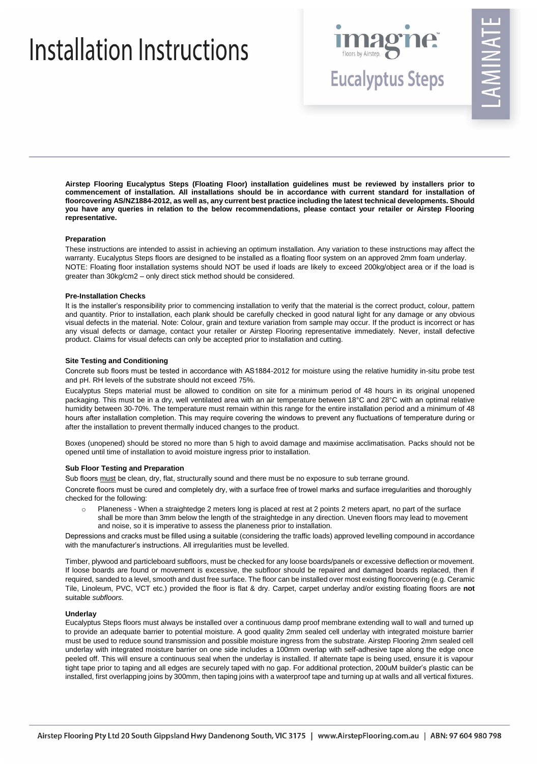# Installation Instructions



# AMINA

**Airstep Flooring Eucalyptus Steps (Floating Floor) installation guidelines must be reviewed by installers prior to commencement of installation. All installations should be in accordance with current standard for installation of floorcovering AS/NZ1884-2012, as well as, any current best practice including the latest technical developments. Should you have any queries in relation to the below recommendations, please contact your retailer or Airstep Flooring representative.**

#### **Preparation**

These instructions are intended to assist in achieving an optimum installation. Any variation to these instructions may affect the warranty. Eucalyptus Steps floors are designed to be installed as a floating floor system on an approved 2mm foam underlay. NOTE: Floating floor installation systems should NOT be used if loads are likely to exceed 200kg/object area or if the load is greater than 30kg/cm2 – only direct stick method should be considered.

#### **Pre-Installation Checks**

It is the installer's responsibility prior to commencing installation to verify that the material is the correct product, colour, pattern and quantity. Prior to installation, each plank should be carefully checked in good natural light for any damage or any obvious visual defects in the material. Note: Colour, grain and texture variation from sample may occur. If the product is incorrect or has any visual defects or damage, contact your retailer or Airstep Flooring representative immediately. Never, install defective product. Claims for visual defects can only be accepted prior to installation and cutting.

# **Site Testing and Conditioning**

Concrete sub floors must be tested in accordance with AS1884-2012 for moisture using the relative humidity in-situ probe test and pH. RH levels of the substrate should not exceed 75%.

Eucalyptus Steps material must be allowed to condition on site for a minimum period of 48 hours in its original unopened packaging. This must be in a dry, well ventilated area with an air temperature between 18°C and 28°C with an optimal relative humidity between 30-70%. The temperature must remain within this range for the entire installation period and a minimum of 48 hours after installation completion. This may require covering the windows to prevent any fluctuations of temperature during or after the installation to prevent thermally induced changes to the product.

Boxes (unopened) should be stored no more than 5 high to avoid damage and maximise acclimatisation. Packs should not be opened until time of installation to avoid moisture ingress prior to installation.

# **Sub Floor Testing and Preparation**

Sub floors must be clean, dry, flat, structurally sound and there must be no exposure to sub terrane ground.

Concrete floors must be cured and completely dry, with a surface free of trowel marks and surface irregularities and thoroughly checked for the following:

Planeness - When a straightedge 2 meters long is placed at rest at 2 points 2 meters apart, no part of the surface shall be more than 3mm below the length of the straightedge in any direction. Uneven floors may lead to movement and noise, so it is imperative to assess the planeness prior to installation.

Depressions and cracks must be filled using a suitable (considering the traffic loads) approved levelling compound in accordance with the manufacturer's instructions. All irregularities must be levelled.

Timber, plywood and particleboard subfloors, must be checked for any loose boards/panels or excessive deflection or movement. If loose boards are found or movement is excessive, the subfloor should be repaired and damaged boards replaced, then if required, sanded to a level, smooth and dust free surface. The floor can be installed over most existing floorcovering (e.g. Ceramic Tile, Linoleum, PVC, VCT etc.) provided the floor is flat & dry. Carpet, carpet underlay and/or existing floating floors are **not** suitable *subfloors.* 

#### **Underlay**

Eucalyptus Steps floors must always be installed over a continuous damp proof membrane extending wall to wall and turned up to provide an adequate barrier to potential moisture. A good quality 2mm sealed cell underlay with integrated moisture barrier must be used to reduce sound transmission and possible moisture ingress from the substrate. Airstep Flooring 2mm sealed cell underlay with integrated moisture barrier on one side includes a 100mm overlap with self-adhesive tape along the edge once peeled off. This will ensure a continuous seal when the underlay is installed. If alternate tape is being used, ensure it is vapour tight tape prior to taping and all edges are securely taped with no gap. For additional protection, 200uM builder's plastic can be installed, first overlapping joins by 300mm, then taping joins with a waterproof tape and turning up at walls and all vertical fixtures.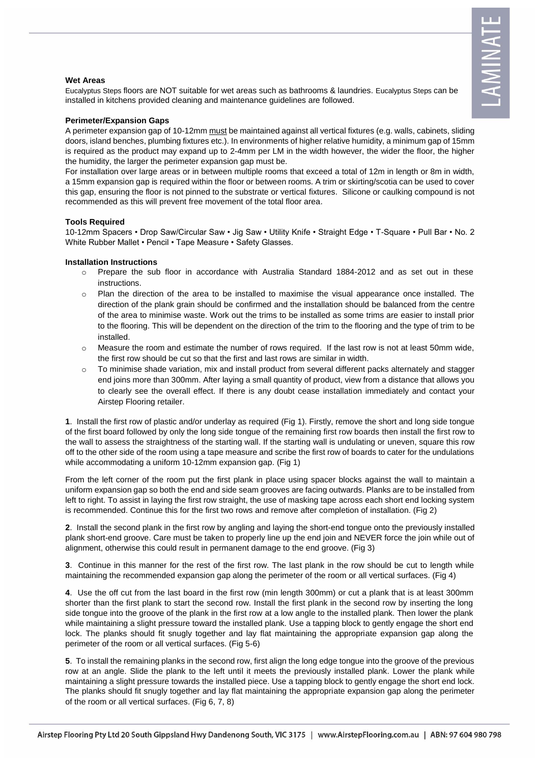# **Wet Areas**

Eucalyptus Steps floors are NOT suitable for wet areas such as bathrooms & laundries. Eucalyptus Steps can be installed in kitchens provided cleaning and maintenance guidelines are followed.

# **Perimeter/Expansion Gaps**

A perimeter expansion gap of 10-12mm must be maintained against all vertical fixtures (e.g. walls, cabinets, sliding doors, island benches, plumbing fixtures etc.). In environments of higher relative humidity, a minimum gap of 15mm is required as the product may expand up to 2-4mm per LM in the width however, the wider the floor, the higher the humidity, the larger the perimeter expansion gap must be.

For installation over large areas or in between multiple rooms that exceed a total of 12m in length or 8m in width, a 15mm expansion gap is required within the floor or between rooms. A trim or skirting/scotia can be used to cover this gap, ensuring the floor is not pinned to the substrate or vertical fixtures. Silicone or caulking compound is not recommended as this will prevent free movement of the total floor area.

# **Tools Required**

10-12mm Spacers • Drop Saw/Circular Saw • Jig Saw • Utility Knife • Straight Edge • T-Square • Pull Bar • No. 2 White Rubber Mallet • Pencil • Tape Measure • Safety Glasses.

# **Installation Instructions**

- o Prepare the sub floor in accordance with Australia Standard 1884-2012 and as set out in these instructions.
- o Plan the direction of the area to be installed to maximise the visual appearance once installed. The direction of the plank grain should be confirmed and the installation should be balanced from the centre of the area to minimise waste. Work out the trims to be installed as some trims are easier to install prior to the flooring. This will be dependent on the direction of the trim to the flooring and the type of trim to be installed.
- $\circ$  Measure the room and estimate the number of rows required. If the last row is not at least 50mm wide, the first row should be cut so that the first and last rows are similar in width.
- o To minimise shade variation, mix and install product from several different packs alternately and stagger end joins more than 300mm. After laying a small quantity of product, view from a distance that allows you to clearly see the overall effect. If there is any doubt cease installation immediately and contact your Airstep Flooring retailer.

**1**. Install the first row of plastic and/or underlay as required (Fig 1). Firstly, remove the short and long side tongue of the first board followed by only the long side tongue of the remaining first row boards then install the first row to the wall to assess the straightness of the starting wall. If the starting wall is undulating or uneven, square this row off to the other side of the room using a tape measure and scribe the first row of boards to cater for the undulations while accommodating a uniform 10-12mm expansion gap. (Fig 1)

From the left corner of the room put the first plank in place using spacer blocks against the wall to maintain a uniform expansion gap so both the end and side seam grooves are facing outwards. Planks are to be installed from left to right. To assist in laying the first row straight, the use of masking tape across each short end locking system is recommended. Continue this for the first two rows and remove after completion of installation. (Fig 2)

**2**. Install the second plank in the first row by angling and laying the short-end tongue onto the previously installed plank short-end groove. Care must be taken to properly line up the end join and NEVER force the join while out of alignment, otherwise this could result in permanent damage to the end groove. (Fig 3)

**3**. Continue in this manner for the rest of the first row. The last plank in the row should be cut to length while maintaining the recommended expansion gap along the perimeter of the room or all vertical surfaces. (Fig 4)

**4**. Use the off cut from the last board in the first row (min length 300mm) or cut a plank that is at least 300mm shorter than the first plank to start the second row. Install the first plank in the second row by inserting the long side tongue into the groove of the plank in the first row at a low angle to the installed plank. Then lower the plank while maintaining a slight pressure toward the installed plank. Use a tapping block to gently engage the short end lock. The planks should fit snugly together and lay flat maintaining the appropriate expansion gap along the perimeter of the room or all vertical surfaces. (Fig 5-6)

**5**. To install the remaining planks in the second row, first align the long edge tongue into the groove of the previous row at an angle. Slide the plank to the left until it meets the previously installed plank. Lower the plank while maintaining a slight pressure towards the installed piece. Use a tapping block to gently engage the short end lock. The planks should fit snugly together and lay flat maintaining the appropriate expansion gap along the perimeter of the room or all vertical surfaces. (Fig 6, 7, 8)